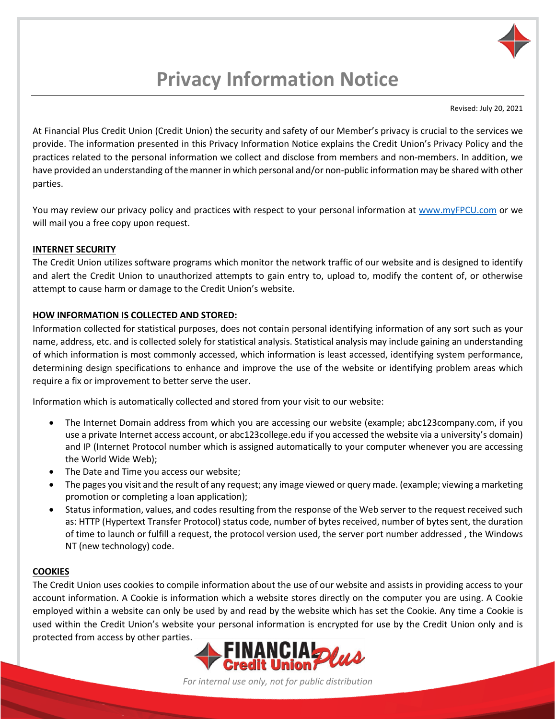

# **Privacy Information Notice**

Revised: July 20, 2021

At Financial Plus Credit Union (Credit Union) the security and safety of our Member's privacy is crucial to the services we provide. The information presented in this Privacy Information Notice explains the Credit Union's Privacy Policy and the practices related to the personal information we collect and disclose from members and non-members. In addition, we have provided an understanding of the manner in which personal and/or non-public information may be shared with other parties.

You may review our privacy policy and practices with respect to your personal information at [www.myFPCU.com](http://www.myfpcu.com/) or we will mail you a free copy upon request.

#### **INTERNET SECURITY**

The Credit Union utilizes software programs which monitor the network traffic of our website and is designed to identify and alert the Credit Union to unauthorized attempts to gain entry to, upload to, modify the content of, or otherwise attempt to cause harm or damage to the Credit Union's website.

#### **HOW INFORMATION IS COLLECTED AND STORED:**

Information collected for statistical purposes, does not contain personal identifying information of any sort such as your name, address, etc. and is collected solely for statistical analysis. Statistical analysis may include gaining an understanding of which information is most commonly accessed, which information is least accessed, identifying system performance, determining design specifications to enhance and improve the use of the website or identifying problem areas which require a fix or improvement to better serve the user.

Information which is automatically collected and stored from your visit to our website:

- The Internet Domain address from which you are accessing our website (example; abc123company.com, if you use a private Internet access account, or abc123college.edu if you accessed the website via a university's domain) and IP (Internet Protocol number which is assigned automatically to your computer whenever you are accessing the World Wide Web);
- The Date and Time you access our website;
- The pages you visit and the result of any request; any image viewed or query made. (example; viewing a marketing promotion or completing a loan application);
- Status information, values, and codes resulting from the response of the Web server to the request received such as: HTTP (Hypertext Transfer Protocol) status code, number of bytes received, number of bytes sent, the duration of time to launch or fulfill a request, the protocol version used, the server port number addressed , the Windows NT (new technology) code.

#### **COOKIES**

The Credit Union uses cookies to compile information about the use of our website and assists in providing access to your account information. A Cookie is information which a website stores directly on the computer you are using. A Cookie employed within a website can only be used by and read by the website which has set the Cookie. Any time a Cookie is used within the Credit Union's website your personal information is encrypted for use by the Credit Union only and is protected from access by other parties.



*For internal use only, not for public distribution*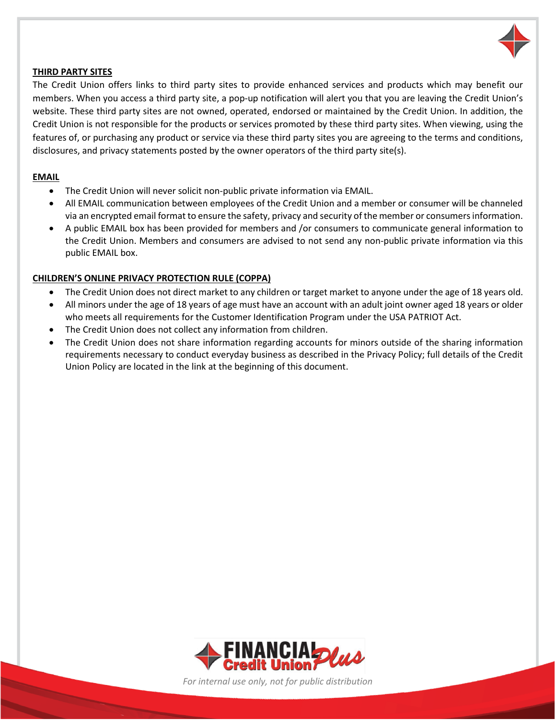

#### **THIRD PARTY SITES**

The Credit Union offers links to third party sites to provide enhanced services and products which may benefit our members. When you access a third party site, a pop-up notification will alert you that you are leaving the Credit Union's website. These third party sites are not owned, operated, endorsed or maintained by the Credit Union. In addition, the Credit Union is not responsible for the products or services promoted by these third party sites. When viewing, using the features of, or purchasing any product or service via these third party sites you are agreeing to the terms and conditions, disclosures, and privacy statements posted by the owner operators of the third party site(s).

#### **EMAIL**

- The Credit Union will never solicit non-public private information via EMAIL.
- All EMAIL communication between employees of the Credit Union and a member or consumer will be channeled via an encrypted email format to ensure the safety, privacy and security of the member or consumers information.
- A public EMAIL box has been provided for members and /or consumers to communicate general information to the Credit Union. Members and consumers are advised to not send any non-public private information via this public EMAIL box.

#### **CHILDREN'S ONLINE PRIVACY PROTECTION RULE (COPPA)**

- The Credit Union does not direct market to any children or target market to anyone under the age of 18 years old.
- All minors under the age of 18 years of age must have an account with an adult joint owner aged 18 years or older who meets all requirements for the Customer Identification Program under the USA PATRIOT Act.
- The Credit Union does not collect any information from children.
- The Credit Union does not share information regarding accounts for minors outside of the sharing information requirements necessary to conduct everyday business as described in the Privacy Policy; full details of the Credit Union Policy are located in the link at the beginning of this document.



*For internal use only, not for public distribution*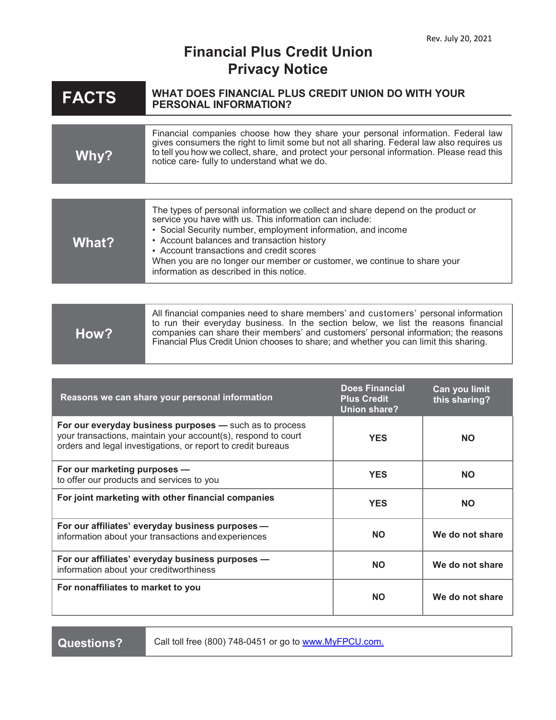### **Financial Plus Credit Union Privacy Notice**

| <b>FACTS</b>                                                                                                                                                                             | WHAT DOES FINANCIAL PLUS CREDIT UNION DO WITH YOUR<br><b>PERSONAL INFORMATION?</b>                                                                                                                                                                                                                                                                                                                                           |                                                                    |                                |
|------------------------------------------------------------------------------------------------------------------------------------------------------------------------------------------|------------------------------------------------------------------------------------------------------------------------------------------------------------------------------------------------------------------------------------------------------------------------------------------------------------------------------------------------------------------------------------------------------------------------------|--------------------------------------------------------------------|--------------------------------|
| Why?                                                                                                                                                                                     | Financial companies choose how they share your personal information. Federal law<br>gives consumers the right to limit some but not all sharing. Federal law also requires us<br>to tell you how we collect, share, and protect your personal information. Please read this<br>notice care- fully to understand what we do.                                                                                                  |                                                                    |                                |
|                                                                                                                                                                                          |                                                                                                                                                                                                                                                                                                                                                                                                                              |                                                                    |                                |
| <b>What?</b>                                                                                                                                                                             | The types of personal information we collect and share depend on the product or<br>service you have with us. This information can include:<br>• Social Security number, employment information, and income<br>• Account balances and transaction history<br>• Account transactions and credit scores<br>When you are no longer our member or customer, we continue to share your<br>information as described in this notice. |                                                                    |                                |
|                                                                                                                                                                                          |                                                                                                                                                                                                                                                                                                                                                                                                                              |                                                                    |                                |
| How?                                                                                                                                                                                     | All financial companies need to share members' and customers' personal information<br>to run their everyday business. In the section below, we list the reasons financial<br>companies can share their members' and customers' personal information; the reasons<br>Financial Plus Credit Union chooses to share; and whether you can limit this sharing.                                                                    |                                                                    |                                |
|                                                                                                                                                                                          |                                                                                                                                                                                                                                                                                                                                                                                                                              |                                                                    |                                |
| Reasons we can share your personal information                                                                                                                                           |                                                                                                                                                                                                                                                                                                                                                                                                                              | <b>Does Financial</b><br><b>Plus Credit</b><br><b>Union share?</b> | Can you limit<br>this sharing? |
| For our everyday business purposes - such as to process<br>your transactions, maintain your account(s), respond to court<br>orders and legal investigations, or report to credit bureaus |                                                                                                                                                                                                                                                                                                                                                                                                                              | <b>YES</b>                                                         | <b>NO</b>                      |
| For our marketing purposes -<br>to offer our products and services to you                                                                                                                |                                                                                                                                                                                                                                                                                                                                                                                                                              | <b>YES</b>                                                         | <b>NO</b>                      |
| For joint marketing with other financial companies                                                                                                                                       |                                                                                                                                                                                                                                                                                                                                                                                                                              | <b>YES</b>                                                         | <b>NO</b>                      |
| For our affiliates' everyday business purposes -<br>information about your transactions and experiences                                                                                  |                                                                                                                                                                                                                                                                                                                                                                                                                              | <b>NO</b>                                                          | We do not share                |
| For our affiliates' everyday business purposes -<br>information about your creditworthiness                                                                                              |                                                                                                                                                                                                                                                                                                                                                                                                                              | <b>NO</b>                                                          | We do not share                |
| For nonaffiliates to market to you                                                                                                                                                       |                                                                                                                                                                                                                                                                                                                                                                                                                              | <b>NO</b>                                                          | We do not share                |

Questions? Call toll free (800) 748-0451 or go to [www.MyFPCU.com.](http://www.myfpcu.com./)